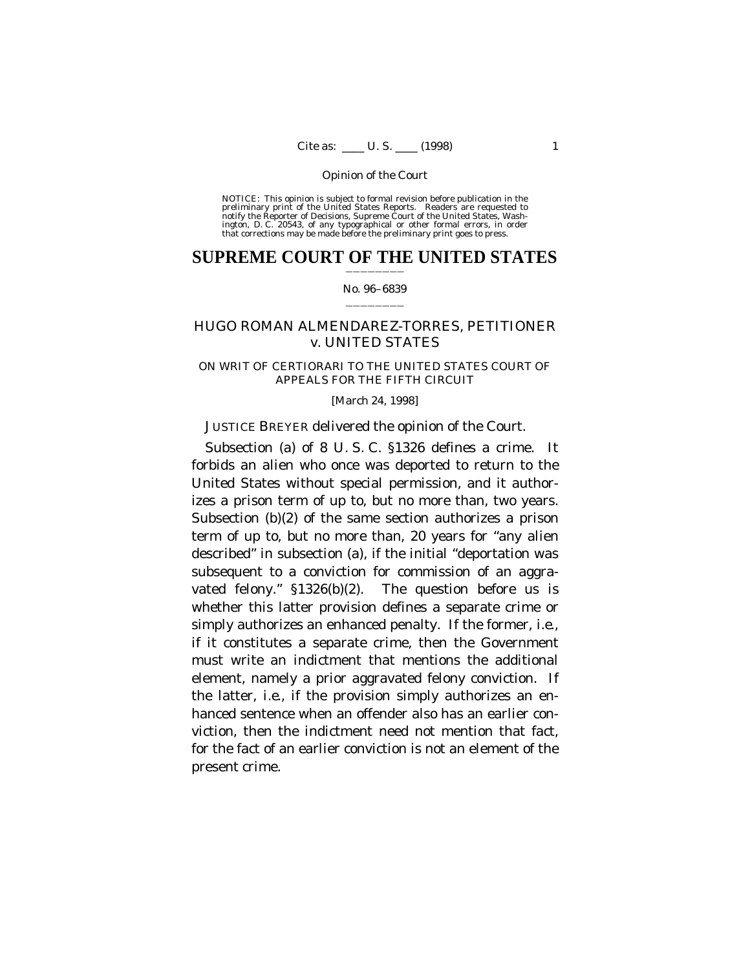NOTICE: This opinion is subject to formal revision before publication in the preliminary print of the United States Reports. Readers are requested to notify the Reporter of Decisions, Supreme Court of the United States, Wa

### **SUPREME COURT OF THE UNITED STATES** ————————

#### No. 96–6839

#### ————————

# HUGO ROMAN ALMENDAREZ-TORRES, PETITIONER *v.* UNITED STATES

### ON WRIT OF CERTIORARI TO THE UNITED STATES COURT OF APPEALS FOR THE FIFTH CIRCUIT

#### [March 24, 1998]

# JUSTICE BREYER delivered the opinion of the Court.

Subsection (a) of 8 U. S. C. §1326 defines a crime. It forbids an alien who once was deported to return to the United States without special permission, and it authorizes a prison term of up to, but no more than, two years. Subsection (b)(2) of the same section authorizes a prison term of up to, but no more than, 20 years for "any alien described" in subsection (a), if the initial "deportation was subsequent to a conviction for commission of an aggravated felony." §1326(b)(2). The question before us is whether this latter provision defines a separate crime or simply authorizes an enhanced penalty. If the former, *i.e.*, if it constitutes a separate crime, then the Government must write an indictment that mentions the additional element, namely a prior aggravated felony conviction. If the latter, *i.e.*, if the provision simply authorizes an enhanced sentence when an offender also has an earlier conviction, then the indictment need not mention that fact, for the fact of an earlier conviction is not an element of the present crime.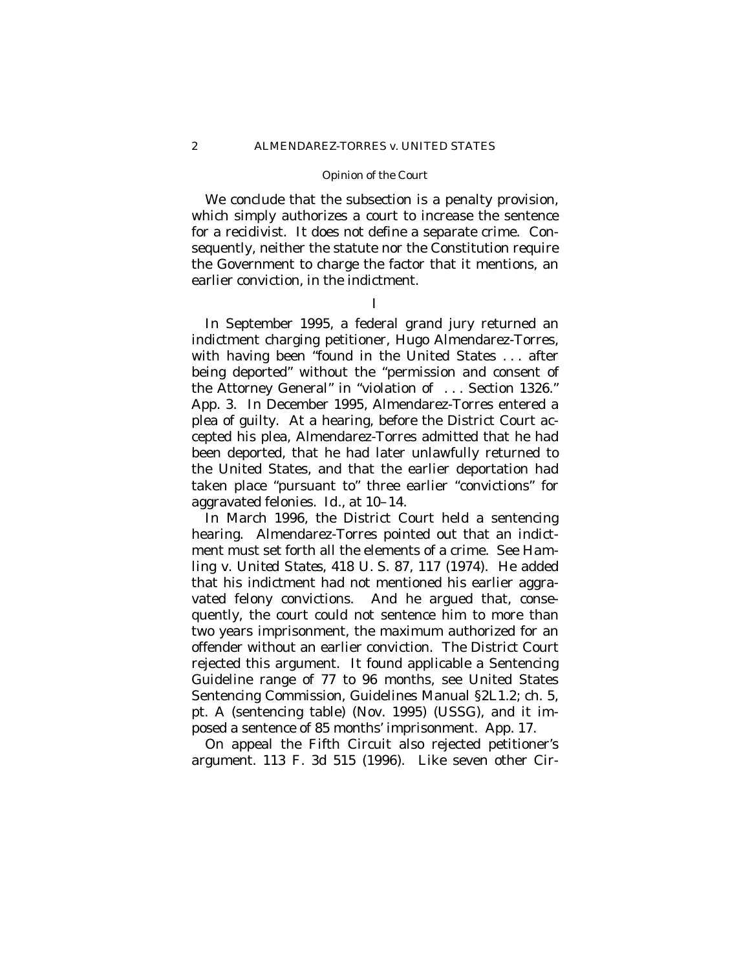We conclude that the subsection is a penalty provision, which simply authorizes a court to increase the sentence for a recidivist. It does not define a separate crime. Consequently, neither the statute nor the Constitution require the Government to charge the factor that it mentions, an earlier conviction, in the indictment.

## I

In September 1995, a federal grand jury returned an indictment charging petitioner, Hugo Almendarez-Torres, with having been "found in the United States . . . after being deported" without the "permission and consent of the Attorney General" in "violation of . . . Section 1326." App. 3. In December 1995, Almendarez-Torres entered a plea of guilty. At a hearing, before the District Court accepted his plea, Almendarez-Torres admitted that he had been deported, that he had later unlawfully returned to the United States, and that the earlier deportation had taken place "pursuant to" three earlier "convictions" for aggravated felonies. *Id.*, at 10–14.

In March 1996, the District Court held a sentencing hearing. Almendarez-Torres pointed out that an indictment must set forth all the elements of a crime. See *Hamling* v. *United States*, 418 U. S. 87, 117 (1974). He added that his indictment had not mentioned his earlier aggravated felony convictions. And he argued that, consequently, the court could not sentence him to more than two years imprisonment, the maximum authorized for an offender without an earlier conviction. The District Court rejected this argument. It found applicable a Sentencing Guideline range of 77 to 96 months, see United States Sentencing Commission, Guidelines Manual §2L1.2; ch. 5, pt. A (sentencing table) (Nov. 1995) (USSG), and it imposed a sentence of 85 months' imprisonment. App. 17.

On appeal the Fifth Circuit also rejected petitioner's argument. 113 F. 3d 515 (1996). Like seven other Cir-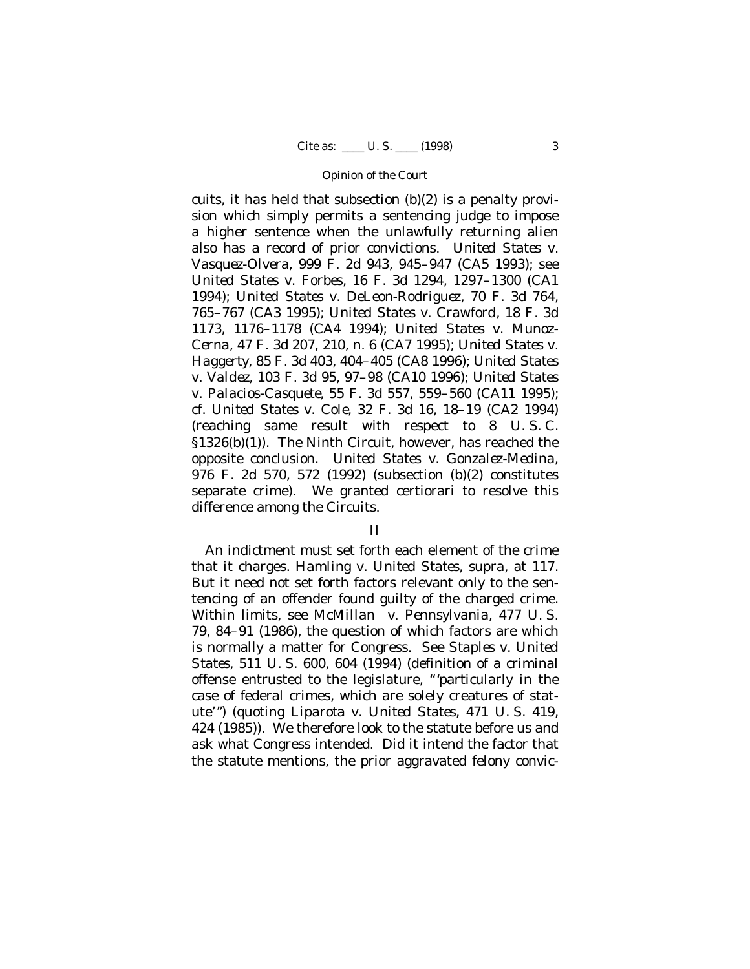cuits, it has held that subsection (b)(2) is a penalty provision which simply permits a sentencing judge to impose a higher sentence when the unlawfully returning alien also has a record of prior convictions. *United States* v. *Vasquez-Olvera*, 999 F. 2d 943, 945–947 (CA5 1993); see *United States* v. *Forbes*, 16 F. 3d 1294, 1297–1300 (CA1 1994); *United States* v. *DeLeon-Rodriguez*, 70 F. 3d 764, 765–767 (CA3 1995); *United States* v. *Crawford*, 18 F. 3d 1173, 1176–1178 (CA4 1994); *United States* v. *Munoz-Cerna*, 47 F. 3d 207, 210, n. 6 (CA7 1995); *United States* v. *Haggerty*, 85 F. 3d 403, 404–405 (CA8 1996); *United States* v. *Valdez*, 103 F. 3d 95, 97–98 (CA10 1996); *United States* v. *Palacios-Casquete*, 55 F. 3d 557, 559–560 (CA11 1995); cf. *United States* v. *Cole*, 32 F. 3d 16, 18–19 (CA2 1994) (reaching same result with respect to 8 U. S. C. §1326(b)(1)). The Ninth Circuit, however, has reached the opposite conclusion. *United States* v. *Gonzalez-Medina*, 976 F. 2d 570, 572 (1992) (subsection (b)(2) constitutes separate crime). We granted certiorari to resolve this difference among the Circuits.

## II

An indictment must set forth each element of the crime that it charges. *Hamling* v. *United States*, *supra*, at 117. But it need not set forth factors relevant only to the sentencing of an offender found guilty of the charged crime. Within limits, see *McMillan* v. *Pennsylvania*, 477 U. S. 79, 84–91 (1986), the question of which factors are which is normally a matter for Congress. See *Staples* v. *United States*, 511 U. S. 600, 604 (1994) (definition of a criminal offense entrusted to the legislature, "'particularly in the case of federal crimes, which are solely creatures of statute'") (quoting *Liparota* v. *United States*, 471 U. S. 419, 424 (1985)). We therefore look to the statute before us and ask what Congress intended. Did it intend the factor that the statute mentions, the prior aggravated felony convic-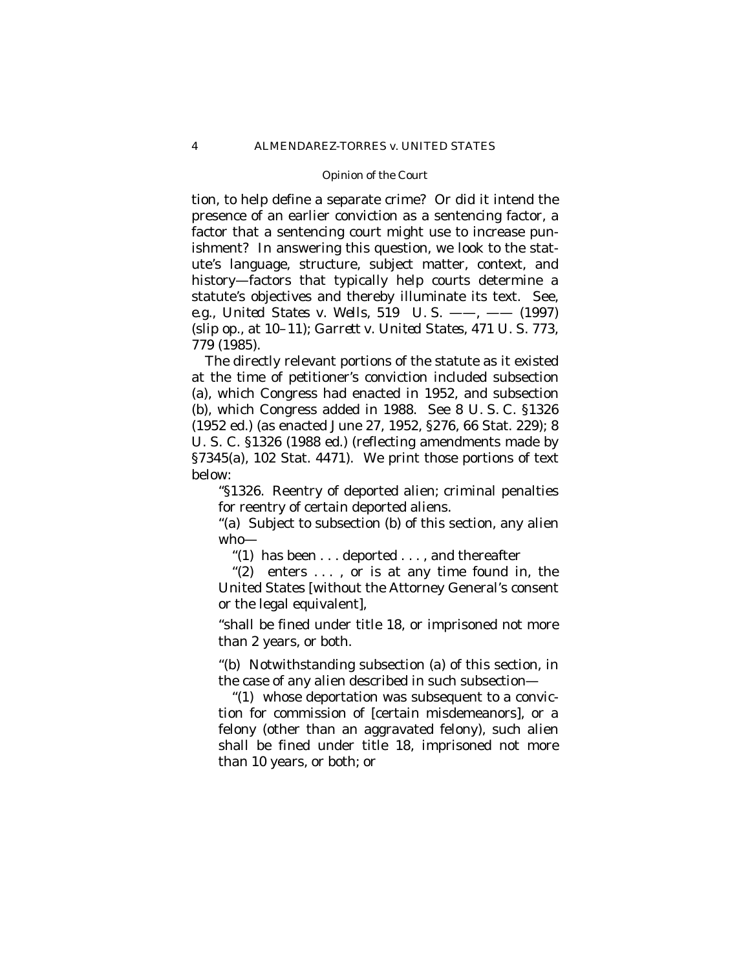tion, to help define a separate crime? Or did it intend the presence of an earlier conviction as a sentencing factor, a factor that a sentencing court might use to increase punishment? In answering this question, we look to the statute's language, structure, subject matter, context, and history– factors that typically help courts determine a statute's objectives and thereby illuminate its text. See, *e.g.*, *United States* v. *Wells*, 519 U. S. —— , —— (1997) (slip op., at 10–11); *Garrett* v. *United States*, 471 U. S. 773, 779 (1985).

The directly relevant portions of the statute as it existed at the time of petitioner's conviction included subsection (a), which Congress had enacted in 1952, and subsection (b), which Congress added in 1988. See 8 U. S. C. §1326 (1952 ed.) (as enacted June 27, 1952, §276, 66 Stat. 229); 8 U. S. C. §1326 (1988 ed.) (reflecting amendments made by §7345(a), 102 Stat. 4471). We print those portions of text below:

"§1326. Reentry of deported alien; criminal penalties for reentry of certain deported aliens.

"(a) Subject to subsection (b) of this section, any alien who—

"(1) has been . . . deported . . . , and thereafter

" $(2)$  enters ..., or is at any time found in, the United States [without the Attorney General's consent or the legal equivalent],

"shall be fined under title 18, or imprisoned not more than 2 years, or both.

"(b) Notwithstanding subsection (a) of this section, in the case of any alien described in such subsection—

"(1) whose deportation was subsequent to a conviction for commission of [certain misdemeanors], or a felony (other than an aggravated felony), such alien shall be fined under title 18, imprisoned not more than 10 years, or both; or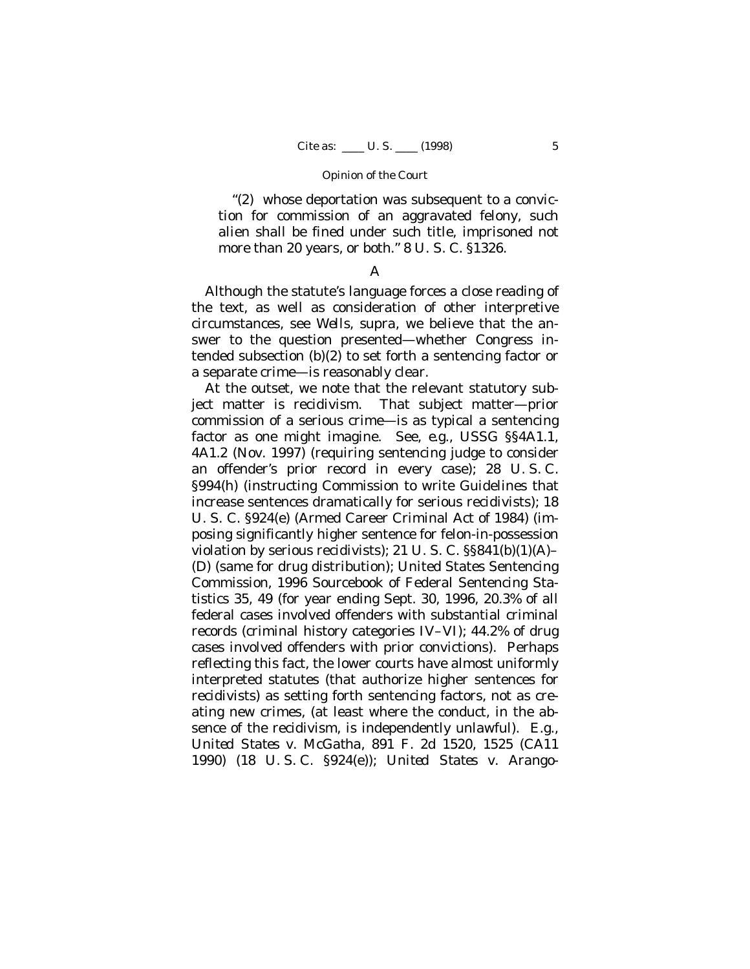"(2) whose deportation was subsequent to a conviction for commission of an aggravated felony, such alien shall be fined under such title, imprisoned not more than 20 years, or both." 8 U. S. C. §1326.

### A

Although the statute's language forces a close reading of the text, as well as consideration of other interpretive circumstances, see *Wells*, *supra*, we believe that the answer to the question presented— whether Congress intended subsection (b)(2) to set forth a sentencing factor or a separate crime— is reasonably clear.

At the outset, we note that the relevant statutory subject matter is recidivism. That subject matter— prior commission of a serious crime— is as typical a sentencing factor as one might imagine. See, *e.g.*, USSG §§4A1.1, 4A1.2 (Nov. 1997) (requiring sentencing judge to consider an offender's prior record in every case); 28 U. S. C. §994(h) (instructing Commission to write Guidelines that increase sentences dramatically for serious recidivists); 18 U. S. C. §924(e) (Armed Career Criminal Act of 1984) (imposing significantly higher sentence for felon-in-possession violation by serious recidivists); 21 U. S. C. §§841(b)(1)(A)– (D) (same for drug distribution); United States Sentencing Commission, 1996 Sourcebook of Federal Sentencing Statistics 35, 49 (for year ending Sept. 30, 1996, 20.3% of all federal cases involved offenders with substantial criminal records (criminal history categories IV–VI); 44.2% of drug cases involved offenders with prior convictions). Perhaps reflecting this fact, the lower courts have almost uniformly interpreted statutes (that authorize higher sentences for recidivists) as setting forth sentencing factors, not as creating new crimes, (at least where the conduct, in the absence of the recidivism, is independently unlawful). *E.g.*, *United States* v. *McGatha*, 891 F. 2d 1520, 1525 (CA11 1990) (18 U. S. C. §924(e)); *United States* v. *Arango-*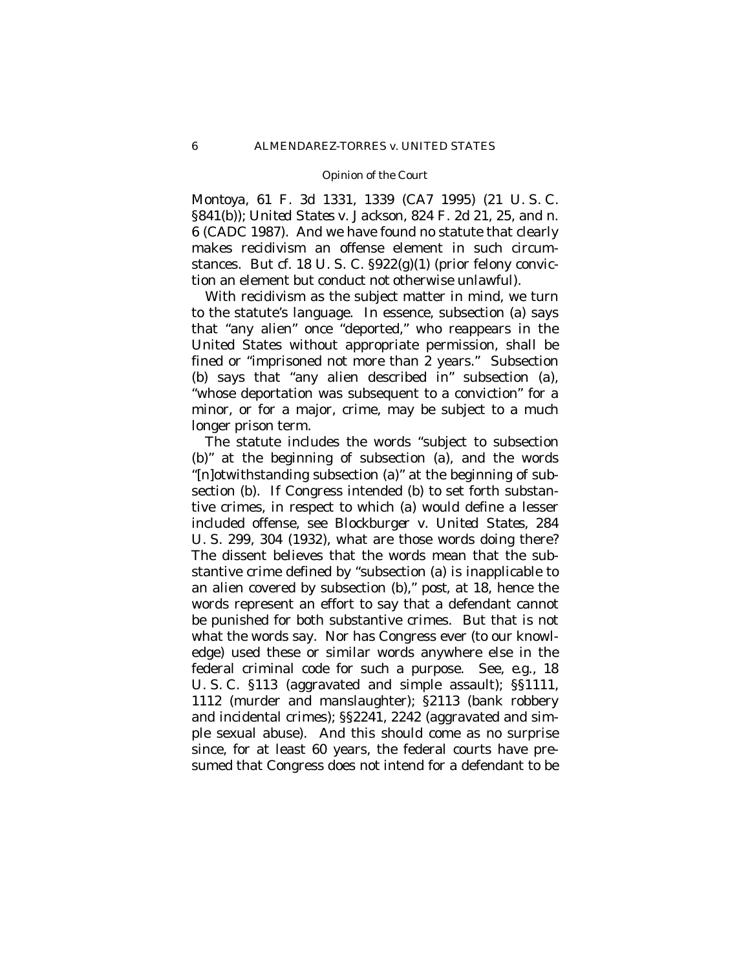*Montoya*, 61 F. 3d 1331, 1339 (CA7 1995) (21 U. S. C. §841(b)); *United States* v. *Jackson*, 824 F. 2d 21, 25, and n. 6 (CADC 1987). And we have found no statute that clearly makes recidivism an offense element in such circumstances. But cf. 18 U.S. C.  $\S 922(g)(1)$  (prior felony conviction an element but conduct *not* otherwise unlawful).

With recidivism as the subject matter in mind, we turn to the statute's language. In essence, subsection (a) says that "any alien" once "deported," who reappears in the United States without appropriate permission, shall be fined or "imprisoned not more than 2 years." Subsection (b) says that "any alien described in" subsection (a), "whose deportation was subsequent to a conviction" for a minor, or for a major, crime, may be subject to a much longer prison term.

The statute includes the words "subject to subsection (b)" at the beginning of subsection (a), and the words "[n]otwithstanding subsection (a)" at the beginning of subsection (b). If Congress intended (b) to set forth substantive crimes, in respect to which (a) would define a lesser included offense, see *Blockburger* v. *United States*, 284 U. S. 299, 304 (1932), what are those words doing there? The dissent believes that the words mean that the substantive crime defined by "subsection (a) is inapplicable to an alien covered by subsection (b)," *post*, at 18, hence the words represent an effort to say that a defendant cannot be punished for both substantive crimes. But that is not what the words say. Nor has Congress ever (to our knowledge) used these or similar words anywhere else in the federal criminal code for such a purpose. See, *e.g.,* 18 U. S. C. §113 (aggravated and simple assault); §§1111, 1112 (murder and manslaughter); §2113 (bank robbery and incidental crimes); §§2241, 2242 (aggravated and simple sexual abuse). And this should come as no surprise since, for at least 60 years, the federal courts have presumed that Congress does *not* intend for a defendant to be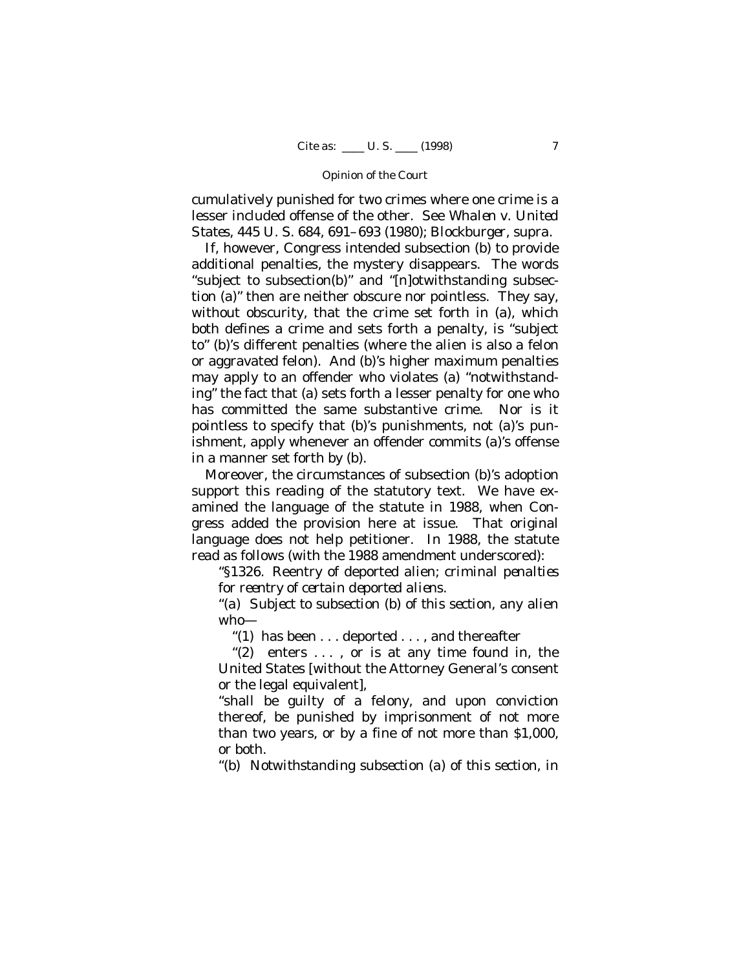cumulatively punished for two crimes where one crime is a lesser included offense of the other. See *Whalen* v. *United States*, 445 U. S. 684, 691–693 (1980); *Blockburger*, *supra*.

If, however, Congress intended subsection (b) to provide additional penalties, the mystery disappears. The words "subject to subsection(b)" and "[n]otwithstanding subsection (a)" then are neither obscure nor pointless. They say, without obscurity, that the crime set forth in (a), which both defines a crime and sets forth a penalty, is "subject to" (b)'s different penalties (where the alien is also a felon or aggravated felon). And (b)'s higher maximum penalties may apply to an offender who violates (a) "notwithstanding" the fact that (a) sets forth a lesser penalty for one who has committed the same substantive crime. Nor is it pointless to specify that (b)'s punishments, not (a)'s punishment, apply whenever an offender commits (a)'s offense in a manner set forth by (b).

Moreover, the circumstances of subsection (b)'s adoption support this reading of the statutory text. We have examined the language of the statute in 1988, when Congress added the provision here at issue. That original language does not help petitioner. In 1988, the statute read as follows (with the 1988 amendment underscored):

"§1326. Reentry of deported alien; *criminal penalties for reentry of certain deported aliens*.

"*(a) Subject to subsection (b) of this section*, any alien who—

"(1) has been  $\dots$  deported  $\dots$ , and thereafter

" $(2)$  enters ..., or is at any time found in, the United States [without the Attorney General's consent or the legal equivalent],

"shall be guilty of a felony, and upon conviction thereof, be punished by imprisonment of not more than two years, or by a fine of not more than \$1,000, or both.

*"(b) Notwithstanding subsection (a) of this section, in*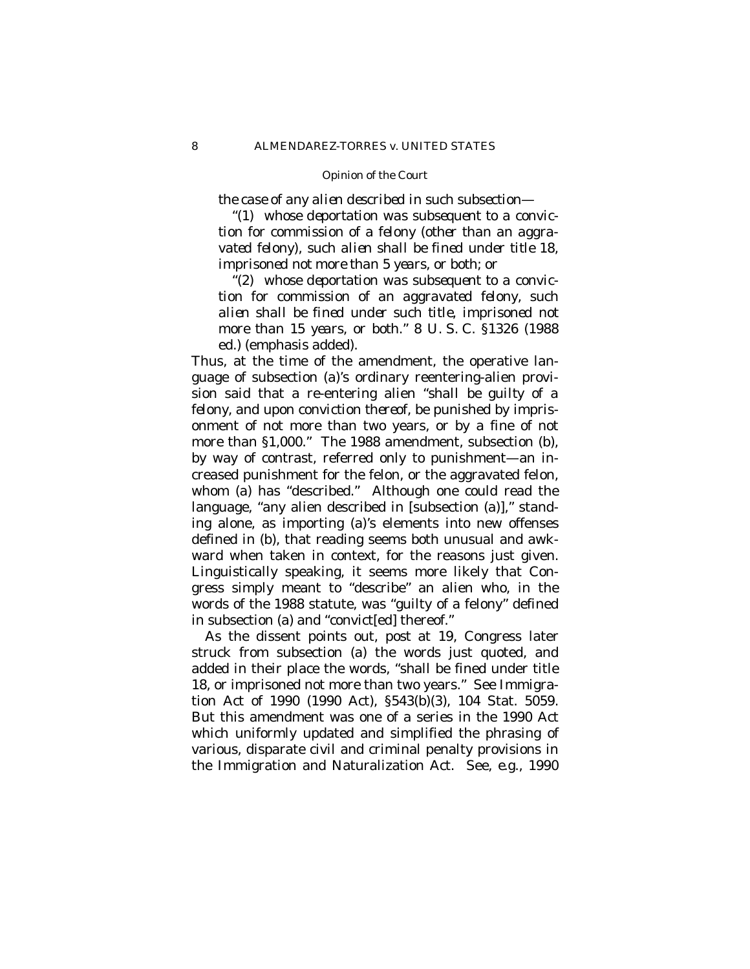*the case of any alien described in such subsection—*

*"(1) whose deportation was subsequent to a conviction for commission of a felony (other than an aggravated felony), such alien shall be fined under title 18, imprisoned not more than 5 years, or both; or*

*"(2) whose deportation was subsequent to a conviction for commission of an aggravated felony, such alien shall be fined under such title, imprisoned not more than 15 years, or both."* 8 U. S. C. §1326 (1988 ed.) (emphasis added).

Thus, at the time of the amendment, the operative language of subsection (a)'s ordinary reentering-alien provision said that a re-entering alien "*shall be guilty of a felony*, and *upon conviction thereof*, be punished by imprisonment of not more than two years, or by a fine of not more than §1,000." The 1988 amendment, subsection (b), by way of contrast, referred only to punishment— an increased punishment for the felon, or the aggravated felon, whom (a) has "described." Although one could read the language, "any alien described in [subsection (a)]," standing alone, as importing (a)'s elements into new offenses defined in (b), that reading seems both unusual and awkward when taken in context, for the reasons just given. Linguistically speaking, it seems more likely that Congress simply meant to "describe" an alien who, in the words of the 1988 statute, was "guilty of a felony" defined in subsection (a) and "convict[ed] thereof."

As the dissent points out, *post* at 19, Congress later struck from subsection (a) the words just quoted, and added in their place the words, "shall be fined under title 18, or imprisoned not more than two years." See Immigration Act of 1990 (1990 Act), §543(b)(3), 104 Stat. 5059. But this amendment was one of a series in the 1990 Act which uniformly updated and simplified the phrasing of various, disparate civil and criminal penalty provisions in the Immigration and Naturalization Act. See, *e.g.*, 1990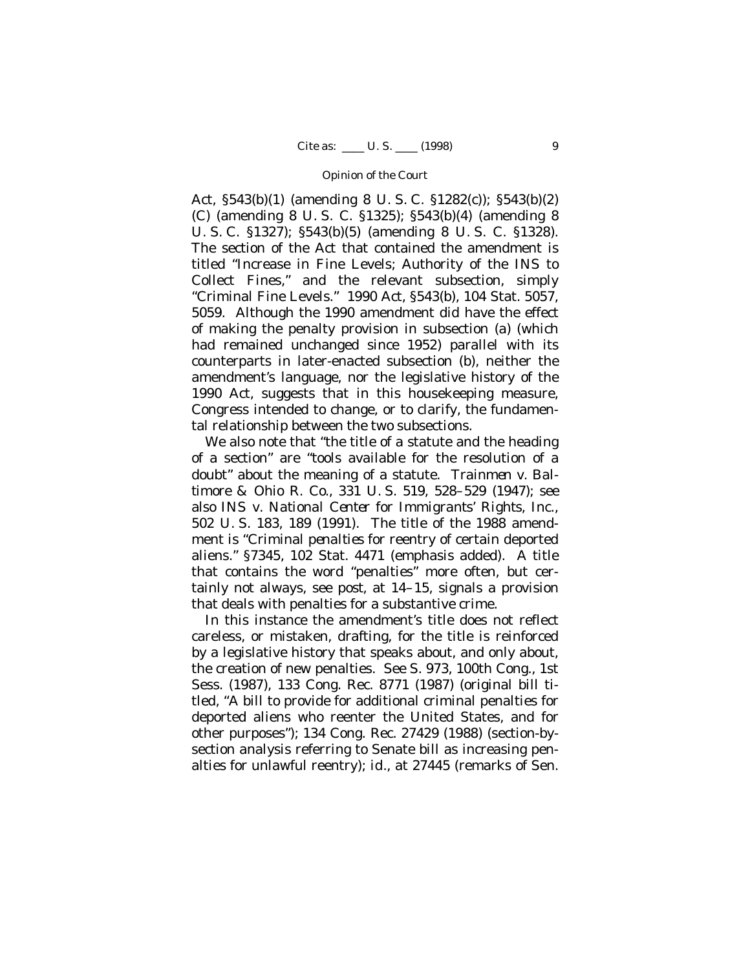Act, §543(b)(1) (amending 8 U. S. C. §1282(c)); §543(b)(2) (C) (amending 8 U. S. C. §1325); §543(b)(4) (amending 8 U. S. C. §1327); §543(b)(5) (amending 8 U. S. C. §1328). The section of the Act that contained the amendment is titled "Increase in Fine Levels; Authority of the INS to Collect Fines," and the relevant subsection, simply "Criminal Fine Levels." 1990 Act, §543(b), 104 Stat. 5057, 5059. Although the 1990 amendment did have the effect of making the penalty provision in subsection (a) (which had remained unchanged since 1952) parallel with its counterparts in later-enacted subsection (b), neither the amendment's language, nor the legislative history of the 1990 Act, suggests that in this housekeeping measure, Congress intended to change, or to clarify, the fundamental relationship between the two subsections.

We also note that "the title of a statute and the heading of a section" are "tools available for the resolution of a doubt" about the meaning of a statute. *Trainmen* v. *Baltimore & Ohio R. Co.,* 331 U. S. 519, 528–529 (1947); see also *INS* v. *National Center for Immigrants' Rights, Inc.*, 502 U. S. 183, 189 (1991). The title of the 1988 amendment is "Criminal *penalties* for reentry of certain deported aliens." §7345, 102 Stat. 4471 (emphasis added). A title that contains the word "penalties" more often, but certainly not always, see *post*, at 14–15, signals a provision that deals with penalties for a substantive crime.

In this instance the amendment's title does not reflect careless, or mistaken, drafting, for the title is reinforced by a legislative history that speaks about, and only about, the creation of new penalties. See S. 973, 100th Cong., 1st Sess. (1987), 133 Cong. Rec. 8771 (1987) (original bill titled, "A bill to provide for additional criminal penalties for deported aliens who reenter the United States, and for other purposes"); 134 Cong. Rec. 27429 (1988) (section-bysection analysis referring to Senate bill as increasing penalties for unlawful reentry); *id.*, at 27445 (remarks of Sen.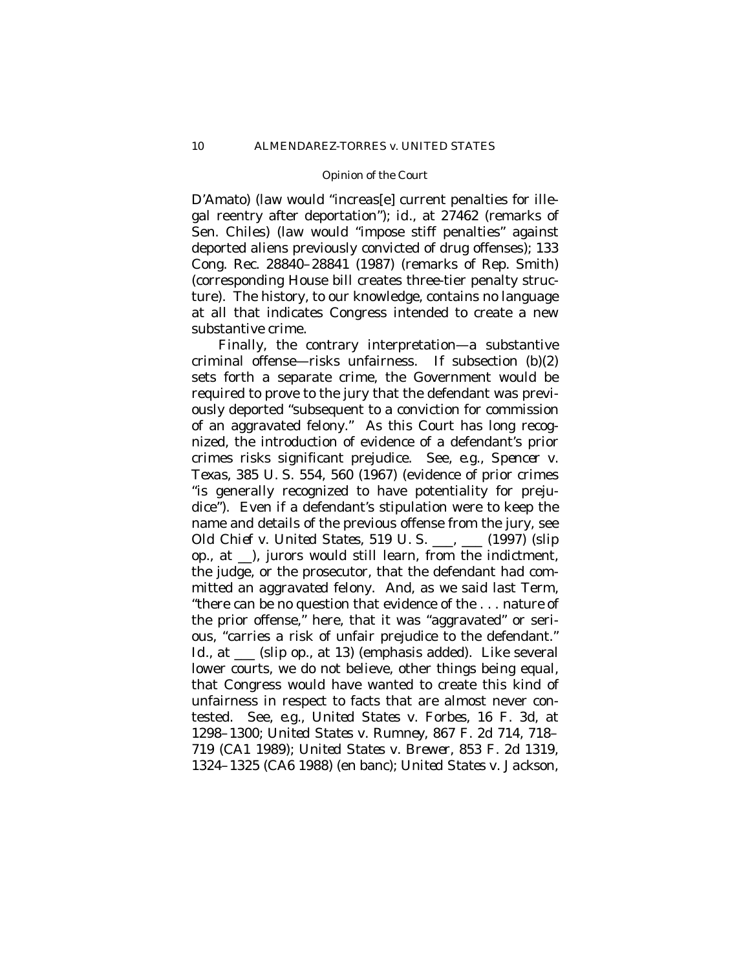D'Amato) (law would "increas[e] current penalties for illegal reentry after deportation"); *id.*, at 27462 (remarks of Sen. Chiles) (law would "impose stiff penalties" against deported aliens previously convicted of drug offenses); 133 Cong. Rec. 28840–28841 (1987) (remarks of Rep. Smith) (corresponding House bill creates three-tier penalty structure). The history, to our knowledge, contains no language at all that indicates Congress intended to create a new substantive crime.

Finally, the contrary interpretation— a substantive criminal offense— risks unfairness. If subsection (b)(2) sets forth a separate crime, the Government would be required to prove to the jury that the defendant was previously deported "subsequent to a conviction for commission of an aggravated felony." As this Court has long recognized, the introduction of evidence of a defendant's prior crimes risks significant prejudice. See, *e.g.*, *Spencer* v. *Texas*, 385 U. S. 554, 560 (1967) (evidence of prior crimes "is generally recognized to have potentiality for prejudice"). Even if a defendant's stipulation were to keep the name and details of the previous offense from the jury, see *Old Chief* v. *United States*, 519 U. S. \_\_\_, \_\_\_ (1997) (slip op., at \_\_), jurors would still learn, from the indictment, the judge, or the prosecutor, that the defendant had committed an *aggravated* felony. And, as we said last Term, "there can be no question that evidence of the . . . *nature* of the prior offense," here, that it was "aggravated" or serious, "carries a risk of unfair prejudice to the defendant." *Id.*, at \_\_\_ (slip op., at 13) (emphasis added). Like several lower courts, we do not believe, other things being equal, that Congress would have wanted to create this kind of unfairness in respect to facts that are almost never contested. See, *e.g.*, *United States* v. *Forbes*, 16 F. 3d, at 1298–1300; *United States* v. *Rumney*, 867 F. 2d 714, 718– 719 (CA1 1989); *United States* v. *Brewer*, 853 F. 2d 1319, 1324–1325 (CA6 1988) (en banc); *United States* v. *Jackson*,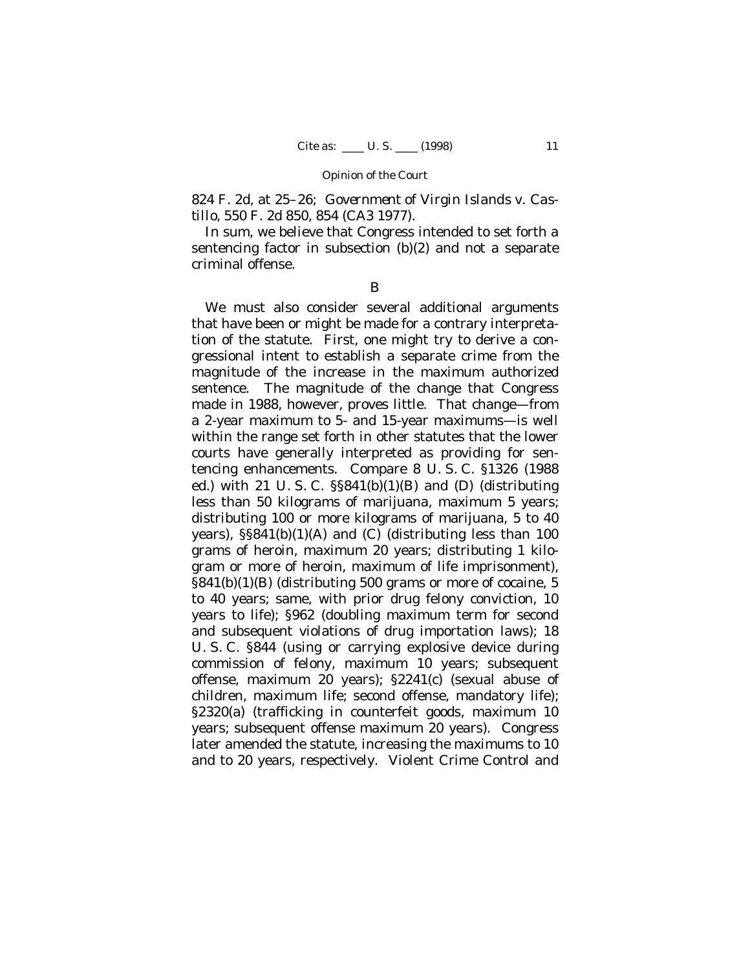824 F. 2d, at 25–26; *Government of Virgin Islands* v. *Castillo*, 550 F. 2d 850, 854 (CA3 1977).

In sum, we believe that Congress intended to set forth a sentencing factor in subsection (b)(2) and not a separate criminal offense.

B

We must also consider several additional arguments that have been or might be made for a contrary interpretation of the statute. First, one might try to derive a congressional intent to establish a separate crime from the *magnitude* of the increase in the maximum authorized sentence. The magnitude of the change that Congress made in 1988, however, proves little. That change— from a 2-year maximum to 5- and 15-year maximums— is well within the range set forth in other statutes that the lower courts have generally interpreted as providing for sentencing enhancements. Compare 8 U. S. C. §1326 (1988 ed.) with 21 U. S. C. §§841(b)(1)(B) and (D) (distributing less than 50 kilograms of marijuana, maximum 5 years; distributing 100 or more kilograms of marijuana, 5 to 40 years), §§841(b)(1)(A) and (C) (distributing less than 100 grams of heroin, maximum 20 years; distributing 1 kilogram or more of heroin, maximum of life imprisonment), §841(b)(1)(B) (distributing 500 grams or more of cocaine, 5 to 40 years; same, with prior drug felony conviction, 10 years to life); §962 (doubling maximum term for second and subsequent violations of drug importation laws); 18 U. S. C. §844 (using or carrying explosive device during commission of felony, maximum 10 years; subsequent offense, maximum 20 years); §2241(c) (sexual abuse of children, maximum life; second offense, mandatory life); §2320(a) (trafficking in counterfeit goods, maximum 10 years; subsequent offense maximum 20 years). Congress later amended the statute, increasing the maximums to 10 and to 20 years, respectively. Violent Crime Control and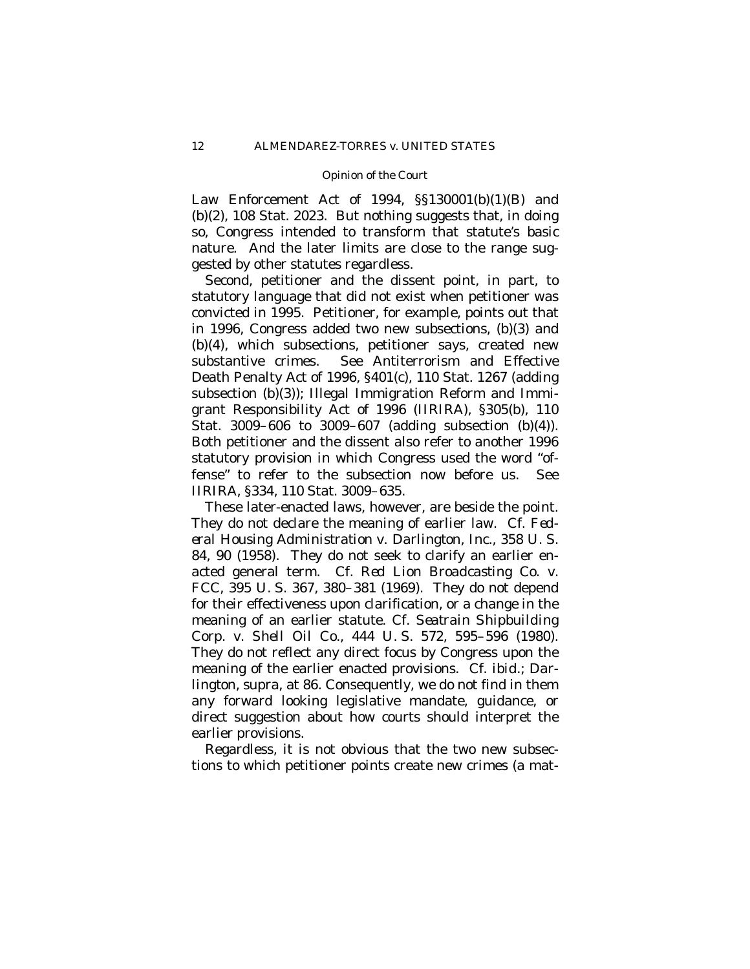Law Enforcement Act of 1994,  $\S$ §130001(b)(1)(B) and (b)(2), 108 Stat. 2023. But nothing suggests that, in doing so, Congress intended to transform that statute's basic nature. And the later limits are close to the range suggested by other statutes regardless.

Second, petitioner and the dissent point, in part, to statutory language that did not exist when petitioner was convicted in 1995. Petitioner, for example, points out that in 1996, Congress added two new subsections, (b)(3) and (b)(4), which subsections, petitioner says, created new substantive crimes. See Antiterrorism and Effective Death Penalty Act of 1996, §401(c), 110 Stat. 1267 (adding subsection (b)(3)); Illegal Immigration Reform and Immigrant Responsibility Act of 1996 (IIRIRA), §305(b), 110 Stat. 3009–606 to 3009–607 (adding subsection (b)(4)). Both petitioner and the dissent also refer to another 1996 statutory provision in which Congress used the word "offense" to refer to the subsection now before us. See IIRIRA, §334, 110 Stat. 3009–635.

These later-enacted laws, however, are beside the point. They do not declare the meaning of earlier law. Cf. *Federal Housing Administration* v. *Darlington, Inc.*, 358 U. S. 84, 90 (1958). They do not seek to clarify an earlier enacted general term. Cf. *Red Lion Broadcasting Co.* v. *FCC*, 395 U. S. 367, 380–381 (1969). They do not depend for their effectiveness upon clarification, or a change in the meaning of an earlier statute. Cf. *Seatrain Shipbuilding Corp.* v. *Shell Oil Co.*, 444 U. S. 572, 595–596 (1980). They do not reflect any direct focus by Congress upon the meaning of the earlier enacted provisions. Cf. *ibid.; Darlington*, *supra*, at 86. Consequently, we do not find in them any forward looking legislative mandate, guidance, or direct suggestion about how courts should interpret the earlier provisions.

Regardless, it is not obvious that the two new subsections to which petitioner points create new crimes (a mat-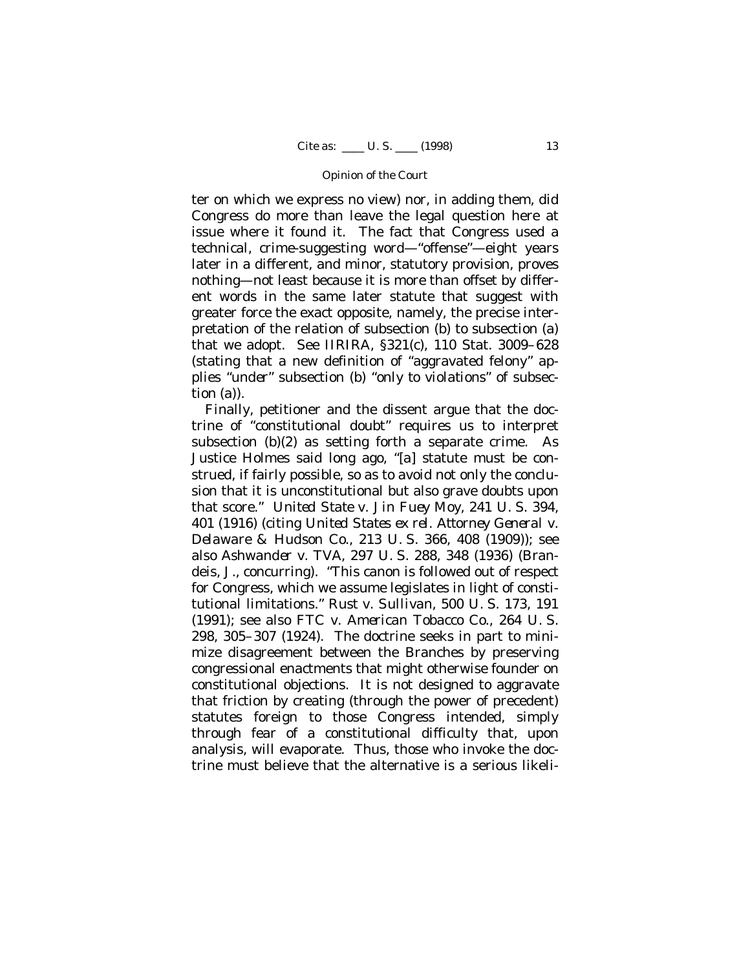ter on which we express no view) nor, in adding them, did Congress do more than leave the legal question here at issue where it found it. The fact that Congress used a technical, crime-suggesting word— "offense"— eight years later in a different, and minor, statutory provision, proves nothing— not least because it is more than offset by different words in the same later statute that suggest with greater force the exact opposite, namely, the precise interpretation of the relation of subsection (b) to subsection (a) that we adopt. See IIRIRA, §321(c), 110 Stat. 3009–628 (stating that a new definition of "aggravated felony" applies "*under*" subsection (b) "*only to violations*" of subsection (a)).

Finally, petitioner and the dissent argue that the doctrine of "constitutional doubt" requires us to interpret subsection (b)(2) as setting forth a separate crime. As Justice Holmes said long ago, "[a] statute must be construed, if fairly possible, so as to avoid not only the conclusion that it is unconstitutional but also grave doubts upon that score." *United State* v. *Jin Fuey Moy*, 241 U. S. 394, 401 (1916) (citing *United States ex rel. Attorney General* v. *Delaware & Hudson Co.*, 213 U. S. 366, 408 (1909)); see also *Ashwander* v. *TVA*, 297 U. S. 288, 348 (1936) (Brandeis, J., concurring). "This canon is followed out of respect for Congress, which we assume legislates in light of constitutional limitations." *Rust* v. *Sullivan*, 500 U. S. 173, 191 (1991); see also *FTC* v. *American Tobacco Co.*, 264 U. S. 298, 305–307 (1924). The doctrine seeks in part to minimize disagreement between the Branches by preserving congressional enactments that might otherwise founder on constitutional objections. It is not designed to aggravate that friction by creating (through the power of precedent) statutes foreign to those Congress intended, simply through fear of a constitutional difficulty that, upon analysis, will evaporate. Thus, those who invoke the doctrine must believe that the alternative is a serious likeli-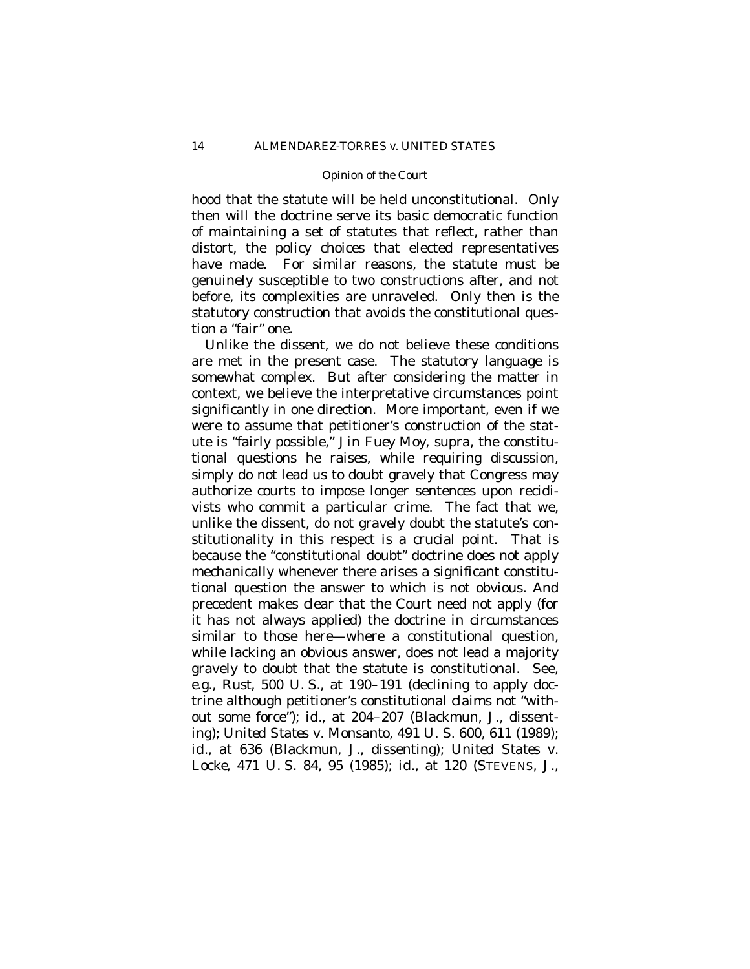hood that the statute will be held unconstitutional. Only then will the doctrine serve its basic democratic function of maintaining a set of statutes that reflect, rather than distort, the policy choices that elected representatives have made. For similar reasons, the statute must be genuinely susceptible to two constructions after, and not before, its complexities are unraveled. Only then is the statutory construction that avoids the constitutional question a "fair" one.

Unlike the dissent, we do not believe these conditions are met in the present case. The statutory language is somewhat complex. But after considering the matter in context, we believe the interpretative circumstances point significantly in one direction. More important, even if we were to assume that petitioner's construction of the statute is "fairly possible," *Jin Fuey Moy*, *supra*, the constitutional questions he raises, while requiring discussion, simply do *not* lead us to doubt gravely that Congress may authorize courts to impose longer sentences upon recidivists who commit a particular crime. The fact that we, unlike the dissent, do not gravely doubt the statute's constitutionality in this respect is a crucial point. That is because the "constitutional doubt" doctrine does not apply mechanically whenever there arises a significant constitutional question the answer to which is not obvious. And precedent makes clear that the Court need not apply (for it has not always applied) the doctrine in circumstances similar to those here— where a constitutional question, while lacking an obvious answer, does not lead a majority gravely to doubt that the statute is constitutional. See, *e.g.*, *Rust*, 500 U. S., at 190–191 (declining to apply doctrine although petitioner's constitutional claims not "without some force"); *id.*, at 204–207 (Blackmun, J., dissenting); *United States* v. *Monsanto*, 491 U. S. 600, 611 (1989); *id.*, at 636 (Blackmun, J., dissenting); *United States* v. *Locke*, 471 U. S. 84, 95 (1985); *id.*, at 120 (STEVENS, J.,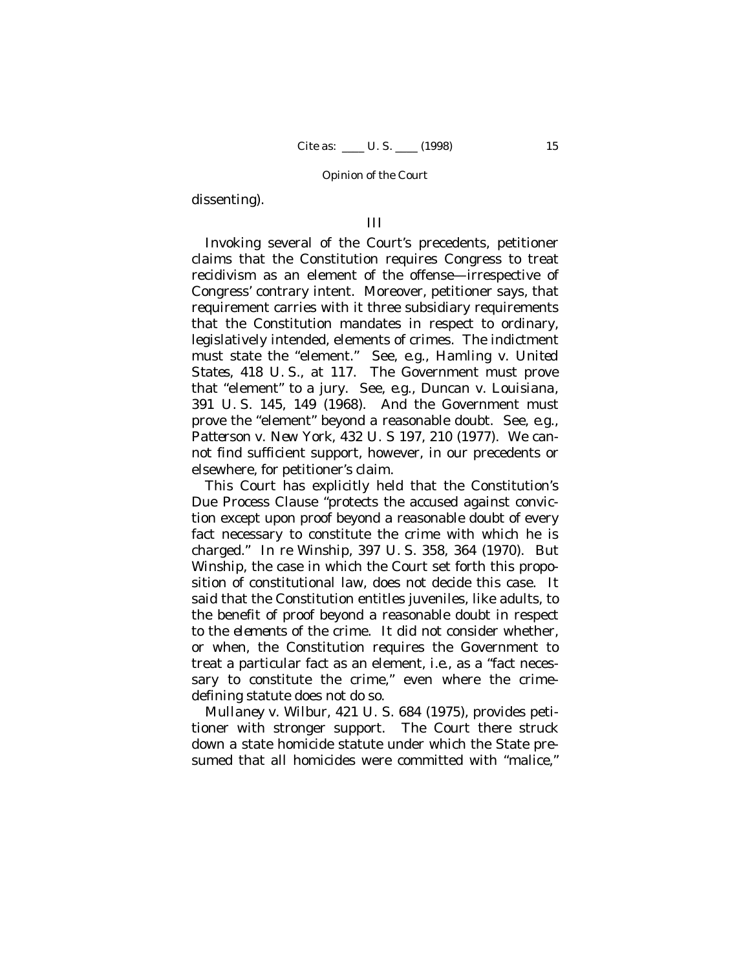dissenting).

# III

Invoking several of the Court's precedents, petitioner claims that the Constitution requires Congress to treat recidivism as an element of the offense— irrespective of Congress' contrary intent. Moreover, petitioner says, that requirement carries with it three subsidiary requirements that the Constitution mandates in respect to ordinary, legislatively intended, elements of crimes. The indictment must state the "element." See, *e.g.*, *Hamling* v. *United States*, 418 U. S., at 117. The Government must prove that "element" to a jury. See, *e.g.*, *Duncan* v. *Louisiana*, 391 U. S. 145, 149 (1968). And the Government must prove the "element" beyond a reasonable doubt. See, *e.g.*, *Patterson* v. *New York*, 432 U. S 197, 210 (1977). We cannot find sufficient support, however, in our precedents or elsewhere, for petitioner's claim.

This Court has explicitly held that the Constitution's Due Process Clause "protects the accused against conviction except upon proof beyond a reasonable doubt of every fact necessary to constitute the crime with which he is charged." *In re Winship*, 397 U. S. 358, 364 (1970). But *Winship*, the case in which the Court set forth this proposition of constitutional law, does not decide this case. It said that the Constitution entitles juveniles, like adults, to the benefit of proof beyond a reasonable doubt in respect to the *elements* of the crime. It did not consider whether, or when, the Constitution requires the Government to treat a particular fact as an element, *i.e.*, as a "fact necessary to constitute the crime," even where the crimedefining statute does not do so.

*Mullaney* v. *Wilbur*, 421 U. S. 684 (1975), provides petitioner with stronger support. The Court there struck down a state homicide statute under which the State presumed that all homicides were committed with "malice,"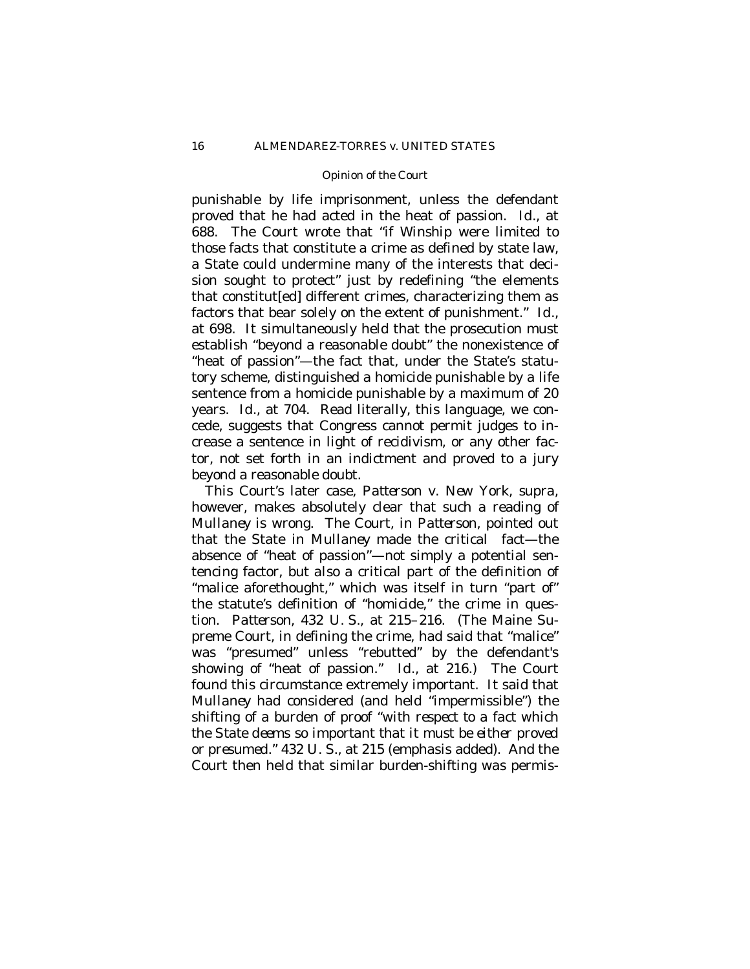punishable by life imprisonment, unless the defendant proved that he had acted in the heat of passion. *Id.*, at 688. The Court wrote that "if *Winship* were limited to those facts that constitute a crime as defined by state law, a State could undermine many of the interests that decision sought to protect" just by redefining "the elements that constitut[ed] different crimes, characterizing them as factors that bear solely on the extent of punishment." *Id*., at 698. It simultaneously held that the prosecution must establish "beyond a reasonable doubt" the nonexistence of "heat of passion"— the fact that, under the State's statutory scheme, distinguished a homicide punishable by a life sentence from a homicide punishable by a maximum of 20 years. *Id*., at 704. Read literally, this language, we concede, suggests that Congress cannot permit judges to increase a sentence in light of recidivism, or any other factor, not set forth in an indictment and proved to a jury beyond a reasonable doubt.

This Court's later case, *Patterson* v. *New York*, *supra*, however, makes absolutely clear that such a reading of *Mullaney* is wrong. The Court, in *Patterson*, pointed out that the State in *Mullaney* made the critical fact— the absence of "heat of passion"— *not* simply a potential sentencing factor, *but also* a critical part of the definition of "malice aforethought," which was itself in turn "part of" the statute's definition of "homicide," the crime in question. *Patterson*, 432 U. S., at 215–216. (The Maine Supreme Court, in defining the crime, had said that "malice" was "presumed" unless "rebutted" by the defendant's showing of "heat of passion." *Id.*, at 216.) The Court found this circumstance extremely important. It said that *Mullaney* had considered (and held "impermissible") the shifting of a burden of proof "*with respect to a fact which the State deems so important that it must be either proved or presumed*." 432 U. S., at 215 (emphasis added). And the Court then held that similar burden-shifting *was* permis-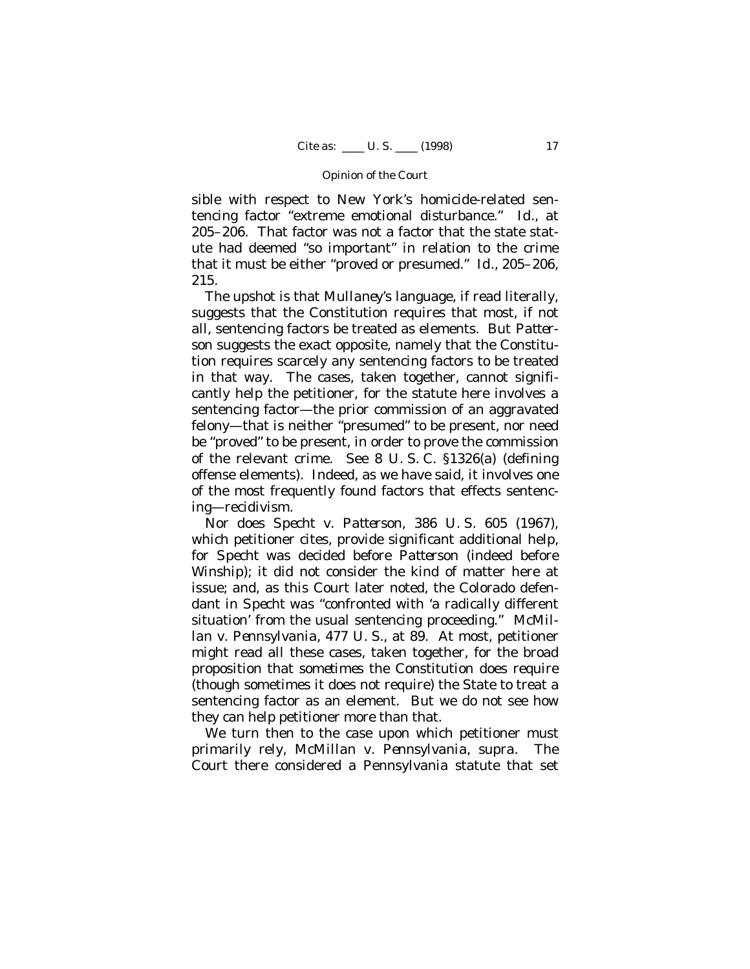sible with respect to New York's homicide-related sentencing factor "extreme emotional disturbance." *Id.*, at 205–206. That factor was not a factor that the state statute had deemed "so important" in relation to the crime that it must be either "proved or presumed." *Id.*, 205–206, 215.

The upshot is that *Mullaney*'s language, if read literally, suggests that the Constitution requires that most, if not all, sentencing factors be treated as elements. But *Patterson* suggests the exact opposite, namely that the Constitution requires scarcely any sentencing factors to be treated in that way. The cases, taken together, cannot significantly help the petitioner, for the statute here involves a sentencing factor— the prior commission of an aggravated felony— that is neither "presumed" to be present, nor need be "proved" to be present, in order to prove the commission of the relevant crime. See 8 U. S. C. §1326(a) (defining offense elements). Indeed, as we have said, it involves one of the most frequently found factors that effects sentencing— recidivism.

Nor does *Specht* v. *Patterson*, 386 U. S. 605 (1967), which petitioner cites, provide significant additional help, for *Specht* was decided before *Patterson* (indeed before *Winship*); it did not consider the kind of matter here at issue; and, as this Court later noted, the Colorado defendant in *Specht* was "confronted with 'a radically different situation' from the usual sentencing proceeding." *McMillan* v. *Pennsylvania*, 477 U. S., at 89. At most, petitioner might read all these cases, taken together, for the broad proposition that *sometimes* the Constitution does require (though sometimes it does not require) the State to treat a sentencing factor as an element. But we do not see how they can help petitioner more than that.

We turn then to the case upon which petitioner must primarily rely, *McMillan* v. *Pennsylvania*, *supra*. The Court there considered a Pennsylvania statute that set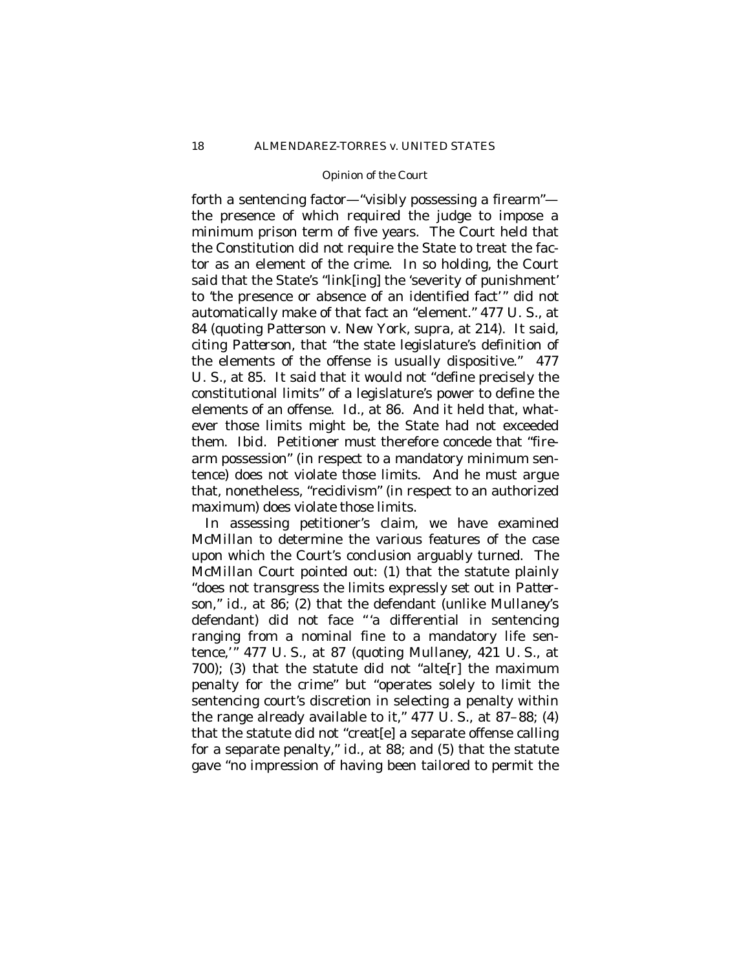forth a sentencing factor— "visibly possessing a firearm" the presence of which required the judge to impose a minimum prison term of five years. The Court held that the Constitution did *not* require the State to treat the factor as an element of the crime. In so holding, the Court said that the State's "link[ing] the 'severity of punishment' to 'the presence or absence of an identified fact'" did *not* automatically make of that fact an "element." 477 U. S., at 84 (quoting *Patterson* v. *New York*, *supra*, at 214). It said, citing *Patterson*, that "the state legislature's definition of the elements of the offense is usually dispositive." 477 U. S., at 85*.* It said that it would not "define precisely the constitutional limits" of a legislature's power to define the elements of an offense. *Id*., at 86. And it held that, whatever those limits might be, the State had not exceeded them. *Ibid*. Petitioner must therefore concede that "firearm possession" (in respect to a mandatory minimum sentence) does not violate those limits. And he must argue that, nonetheless, "recidivism" (in respect to an authorized maximum) does violate those limits.

In assessing petitioner's claim, we have examined *McMillan* to determine the various features of the case upon which the Court's conclusion arguably turned. The *McMillan* Court pointed out: (1) that the statute plainly "does not transgress the limits expressly set out in *Patterson*," *id.*, at 86; (2) that the defendant (unlike *Mullaney*'s defendant) did not face "'a differential in sentencing ranging from a nominal fine to a mandatory life sentence,'" 477 U. S*.*, at 87 (quoting *Mullaney*, 421 U. S., at 700); (3) that the statute did not "alte[r] the maximum penalty for the crime" but "operates solely to limit the sentencing court's discretion in selecting a penalty within the range already available to it," 477 U. S., at 87–88; (4) that the statute did not "creat[e] a separate offense calling for a separate penalty," *id.*, at 88; and (5) that the statute gave "no impression of having been tailored to permit the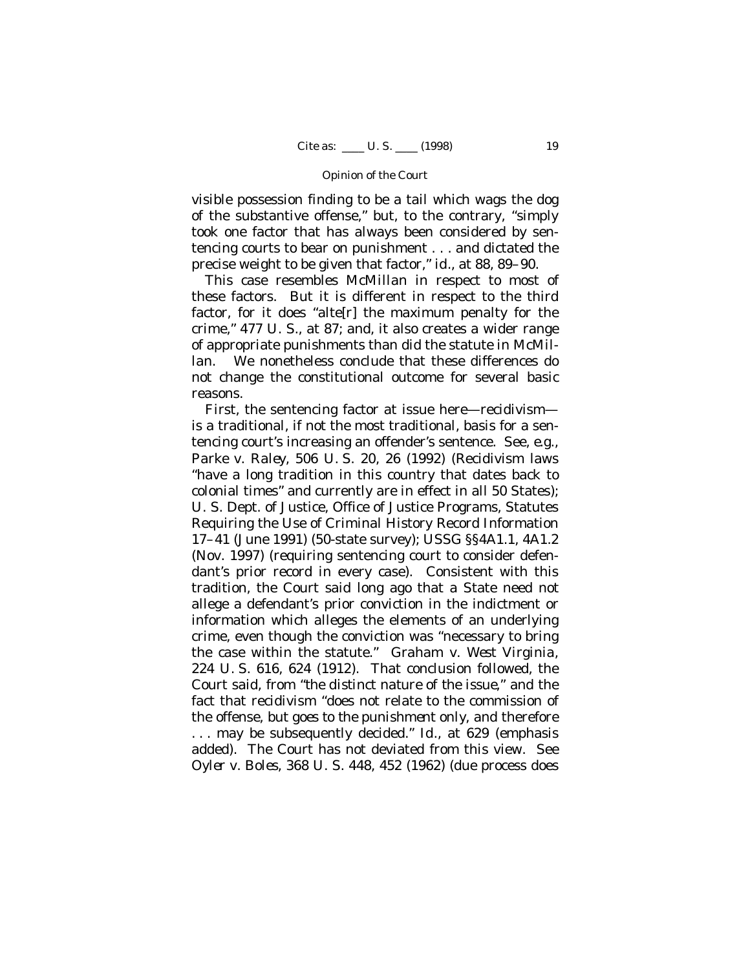visible possession finding to be a tail which wags the dog of the substantive offense," but, to the contrary, "simply took one factor that has always been considered by sentencing courts to bear on punishment . . . and dictated the precise weight to be given that factor," *id.*, at 88, 89–90.

This case resembles *McMillan* in respect to most of these factors. But it is different in respect to the third factor, for it does "alte[r] the maximum penalty for the crime," 477 U. S., at 87; and, it also creates a wider range of appropriate punishments than did the statute in *McMillan*. We nonetheless conclude that these differences do not change the constitutional outcome for several basic reasons.

First, the sentencing factor at issue here— recidivism is a traditional, if not the most traditional, basis for a sentencing court's increasing an offender's sentence. See, *e.g.*, *Parke* v. *Raley*, 506 U. S. 20, 26 (1992) (Recidivism laws "have a long tradition in this country that dates back to colonial times" and currently are in effect in all 50 States); U. S. Dept. of Justice, Office of Justice Programs, Statutes Requiring the Use of Criminal History Record Information 17–41 (June 1991) (50-state survey); USSG §§4A1.1, 4A1.2 (Nov. 1997) (requiring sentencing court to consider defendant's prior record in every case). Consistent with this tradition, the Court said long ago that a State need *not* allege a defendant's prior conviction in the indictment or information which alleges the elements of an underlying crime, even though the conviction was "necessary to bring the case within the statute." *Graham* v. *West Virginia*, 224 U. S. 616, 624 (1912). That conclusion followed, the Court said, from "*the distinct nature of the issue*," and the fact that recidivism "does not relate to the commission of the offense*, but goes to the punishment only*, and therefore . . . may be subsequently decided." *Id.*, at 629 (emphasis added). The Court has not deviated from this view. See *Oyler* v. *Boles*, 368 U. S. 448, 452 (1962) (due process does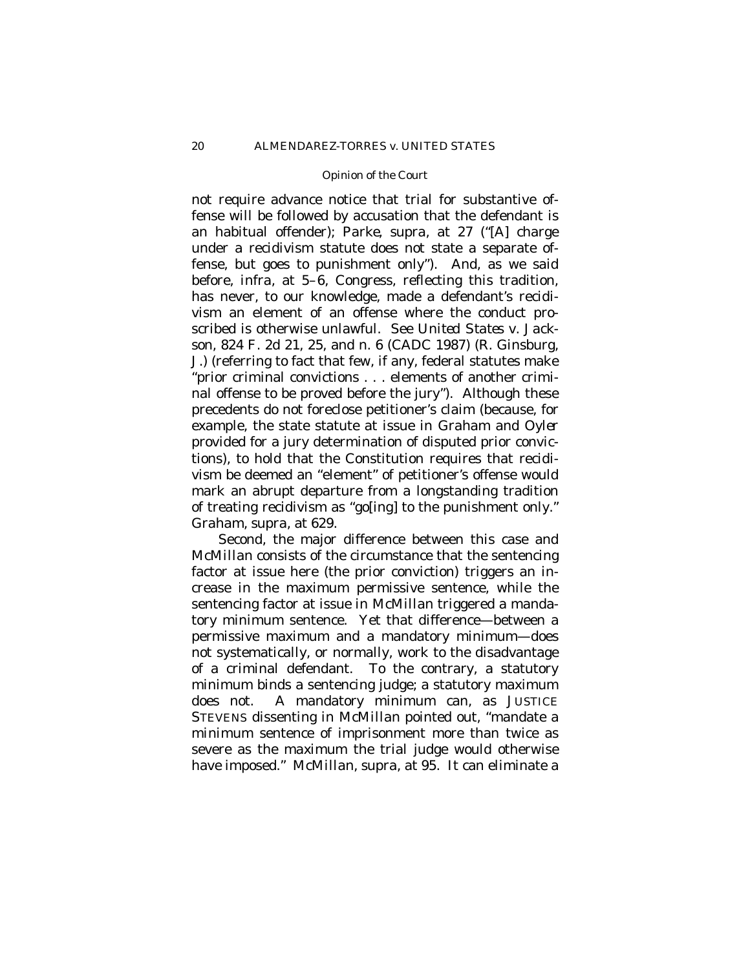not require advance notice that trial for substantive offense will be followed by accusation that the defendant is an habitual offender); *Parke*, *supra*, at 27 ("[A] charge under a recidivism statute does not state a separate offense, but goes to punishment only"). And, as we said before, *infra*, at 5–6, Congress, reflecting this tradition, has never, to our knowledge, made a defendant's recidivism an element of an offense where the conduct proscribed is otherwise unlawful. See *United States* v. *Jackson*, 824 F. 2d 21, 25, and n. 6 (CADC 1987) (R. Ginsburg, J.) (referring to fact that few, if any, federal statutes make "prior criminal convictions . . . elements of another criminal offense to be proved before the jury"). Although these precedents do not foreclose petitioner's claim (because, for example, the state statute at issue in *Graham* and *Oyler* provided for a jury determination of disputed prior convictions), to hold that the Constitution requires that recidivism be deemed an "element" of petitioner's offense would mark an abrupt departure from a longstanding tradition of treating recidivism as "go[ing] to the punishment only." *Graham*, *supra*, at 629.

Second, the major difference between this case and *McMillan* consists of the circumstance that the sentencing factor at issue here (the prior conviction) triggers an increase in the maximum permissive sentence, while the sentencing factor at issue in *McMillan* triggered a mandatory minimum sentence. Yet that difference— between a permissive maximum and a mandatory minimum— does not systematically, or normally, work to the disadvantage of a criminal defendant. To the contrary, a statutory minimum binds a sentencing judge; a statutory maximum does not. A mandatory minimum can, as JUSTICE STEVENS dissenting in *McMillan* pointed out, "mandate a *minimum* sentence of imprisonment more than twice as severe as the *maximum* the trial judge would otherwise have imposed." *McMillan*, *supra*, at 95. It can eliminate a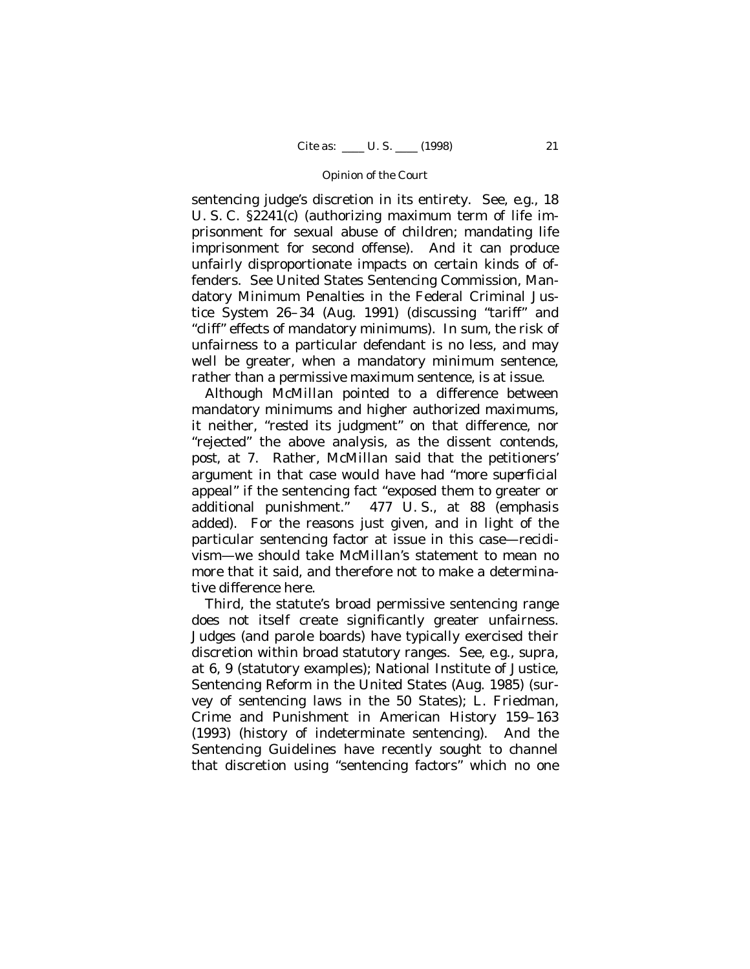sentencing judge's discretion in its entirety. See, *e.g.*, 18 U. S. C. §2241(c) (authorizing maximum term of life imprisonment for sexual abuse of children; mandating life imprisonment for second offense). And it can produce unfairly disproportionate impacts on certain kinds of offenders. See United States Sentencing Commission, Mandatory Minimum Penalties in the Federal Criminal Justice System 26–34 (Aug. 1991) (discussing "tariff" and "cliff" effects of mandatory minimums). In sum, the risk of unfairness to a particular defendant is no less, and may well be greater, when a mandatory minimum sentence, rather than a permissive maximum sentence, is at issue.

Although *McMillan* pointed to a difference between mandatory minimums and higher authorized maximums, it neither, "rested its judgment" on that difference, nor "rejected" the above analysis, as the dissent contends, *post*, at 7. Rather, *McMillan* said that the petitioners' argument in that case would have had "more *superficial* appeal" if the sentencing fact "exposed them to greater or additional punishment." 477 U. S., at 88 (emphasis added). For the reasons just given, and in light of the particular sentencing factor at issue in this case— recidivism— we should take *McMillan's* statement to mean no more that it said, and therefore not to make a determinative difference here.

Third, the statute's broad permissive sentencing range does not itself create significantly greater unfairness. Judges (and parole boards) have typically exercised their discretion within broad statutory ranges. See, *e.g.*, *supra*, at 6, 9 (statutory examples); National Institute of Justice, Sentencing Reform in the United States (Aug. 1985) (survey of sentencing laws in the 50 States); L. Friedman, Crime and Punishment in American History 159–163 (1993) (history of indeterminate sentencing). And the Sentencing Guidelines have recently sought to channel that discretion using "sentencing factors" which no one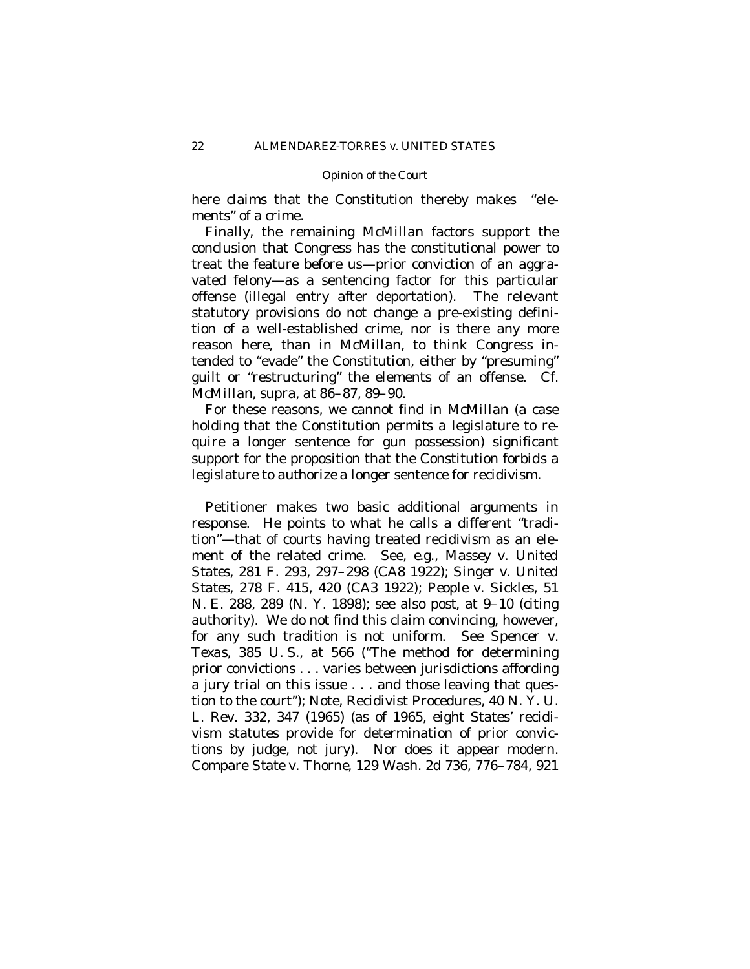here claims that the Constitution thereby makes "elements" of a crime.

Finally, the remaining *McMillan* factors support the conclusion that Congress has the constitutional power to treat the feature before us— prior conviction of an aggravated felony— as a sentencing factor for this particular offense (illegal entry after deportation). The relevant statutory provisions do not change a pre-existing definition of a well-established crime, nor is there any more reason here, than in *McMillan*, to think Congress intended to "evade" the Constitution, either by "presuming" guilt or "restructuring" the elements of an offense. Cf. *McMillan*, *supra*, at 86–87, 89–90.

For these reasons, we cannot find in *McMillan* (a case holding that the Constitution *permits* a legislature to *require* a longer sentence for gun possession) significant support for the proposition that the Constitution *forbids* a legislature to *authorize* a longer sentence for recidivism.

Petitioner makes two basic additional arguments in response. He points to what he calls a different "tradition"— that of courts having treated recidivism as an element of the related crime. See, *e.g.*, *Massey* v. *United States*, 281 F. 293, 297–298 (CA8 1922); *Singer* v. *United States*, 278 F. 415, 420 (CA3 1922); *People* v. *Sickles*, 51 N. E. 288, 289 (N. Y. 1898); see also *post*, at 9–10 (citing authority). We do not find this claim convincing, however, for any such tradition is not uniform. See *Spencer* v. *Texas*, 385 U. S., at 566 ("The method for determining prior convictions . . . varies between jurisdictions affording a jury trial on this issue . . . and those leaving that question to the court"); Note, Recidivist Procedures, 40 N. Y. U. L. Rev. 332, 347 (1965) (as of 1965, eight States' recidivism statutes provide for determination of prior convictions by judge, not jury). Nor does it appear modern. Compare *State* v. *Thorne*, 129 Wash. 2d 736, 776–784, 921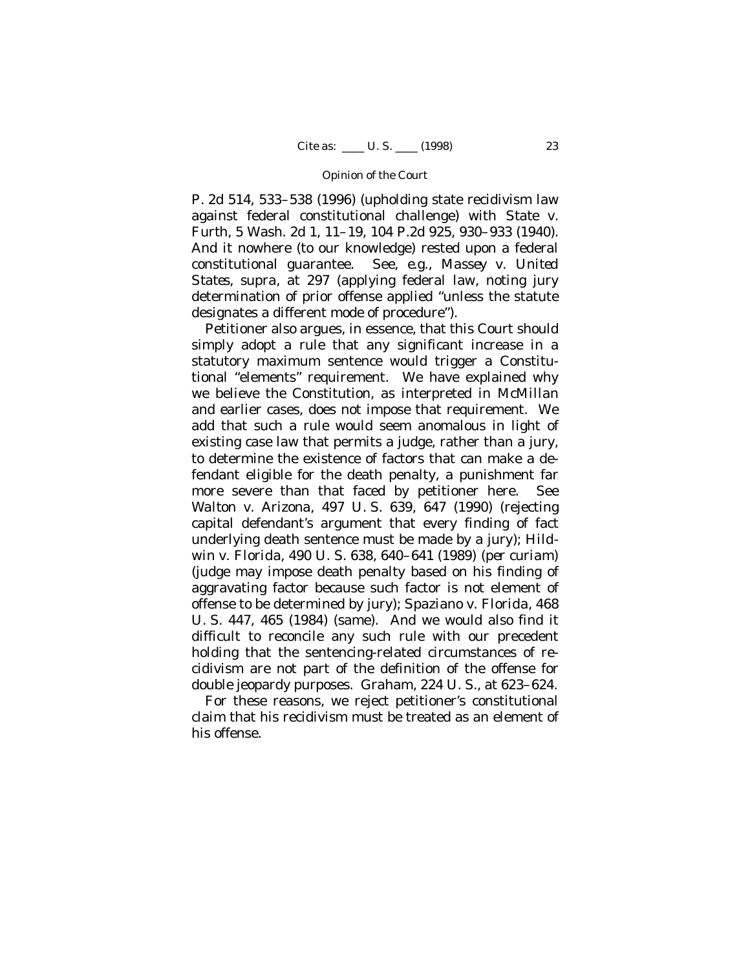P. 2d 514, 533–538 (1996) (upholding state recidivism law against federal constitutional challenge) with *State* v. *Furth*, 5 Wash. 2d 1, 11–19, 104 P.2d 925, 930–933 (1940). And it nowhere (to our knowledge) rested upon a federal constitutional guarantee. See, *e.g.*, *Massey* v. *United States*, *supra*, at 297 (applying federal law, noting jury determination of prior offense applied "unless the statute designates a different mode of procedure").

Petitioner also argues, in essence, that this Court should simply adopt a rule that any significant increase in a statutory maximum sentence would trigger a Constitutional "elements" requirement. We have explained why we believe the Constitution, as interpreted in *McMillan* and earlier cases, does not impose that requirement. We add that such a rule would seem anomalous in light of existing case law that permits a judge, rather than a jury, to determine the existence of factors that can make a defendant eligible for the death penalty, a punishment far more severe than that faced by petitioner here. See *Walton* v. *Arizona*, 497 U. S. 639, 647 (1990) (rejecting capital defendant's argument that every finding of fact underlying death sentence must be made by a jury); *Hildwin* v. *Florida*, 490 U. S. 638, 640–641 (1989) *(per curiam)* (judge may impose death penalty based on his finding of aggravating factor because such factor is not element of offense to be determined by jury); *Spaziano* v. *Florida*, 468 U. S. 447, 465 (1984) (same). And we would also find it difficult to reconcile any such rule with our precedent holding that the sentencing-related circumstances of recidivism are not part of the definition of the offense for double jeopardy purposes. *Graham,* 224 U. S., at 623–624.

For these reasons, we reject petitioner's constitutional claim that his recidivism must be treated as an element of his offense.